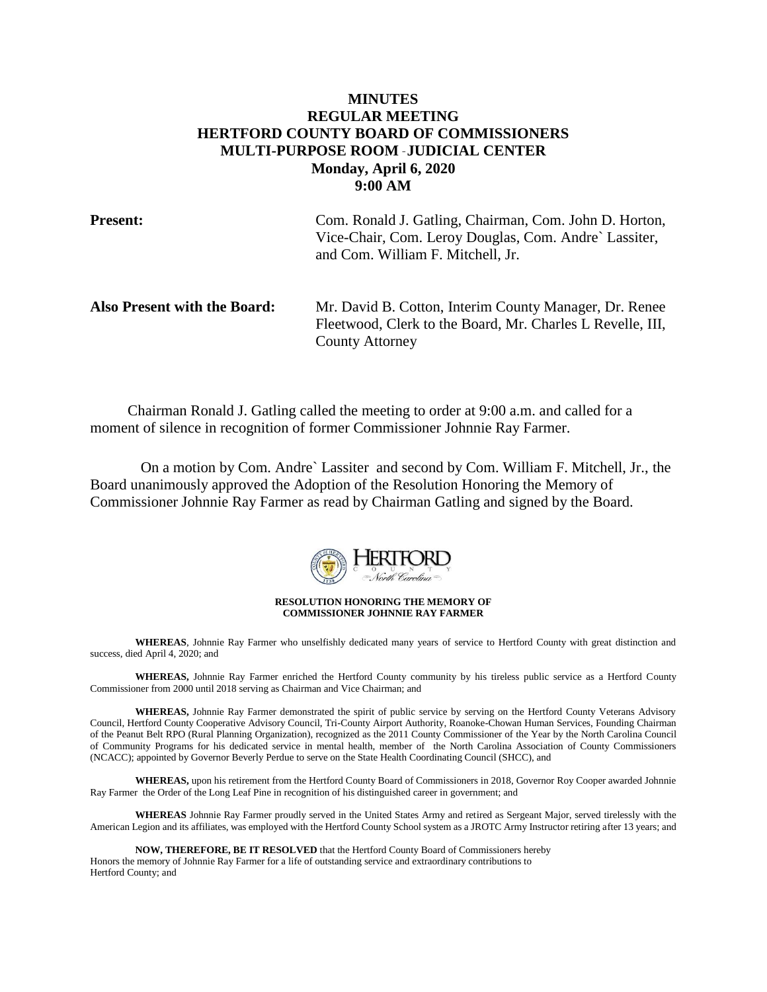# **MINUTES REGULAR MEETING HERTFORD COUNTY BOARD OF COMMISSIONERS MULTI-PURPOSE ROOM** – **JUDICIAL CENTER Monday, April 6, 2020 9:00 AM**

**Present:** Com. Ronald J. Gatling, Chairman, Com. John D. Horton, Vice-Chair, Com. Leroy Douglas, Com. Andre` Lassiter, and Com. William F. Mitchell, Jr.

| Also Present with the Board: | Mr. David B. Cotton, Interim County Manager, Dr. Renee     |
|------------------------------|------------------------------------------------------------|
|                              | Fleetwood, Clerk to the Board, Mr. Charles L Revelle, III, |
|                              | <b>County Attorney</b>                                     |

 Chairman Ronald J. Gatling called the meeting to order at 9:00 a.m. and called for a moment of silence in recognition of former Commissioner Johnnie Ray Farmer.

On a motion by Com. Andre` Lassiter and second by Com. William F. Mitchell, Jr., the Board unanimously approved the Adoption of the Resolution Honoring the Memory of Commissioner Johnnie Ray Farmer as read by Chairman Gatling and signed by the Board.



**RESOLUTION HONORING THE MEMORY OF COMMISSIONER JOHNNIE RAY FARMER**

**WHEREAS**, Johnnie Ray Farmer who unselfishly dedicated many years of service to Hertford County with great distinction and success, died April 4, 2020; and

**WHEREAS,** Johnnie Ray Farmer enriched the Hertford County community by his tireless public service as a Hertford County Commissioner from 2000 until 2018 serving as Chairman and Vice Chairman; and

**WHEREAS,** Johnnie Ray Farmer demonstrated the spirit of public service by serving on the Hertford County Veterans Advisory Council, Hertford County Cooperative Advisory Council, Tri-County Airport Authority, Roanoke-Chowan Human Services, Founding Chairman of the Peanut Belt RPO (Rural Planning Organization), recognized as the 2011 County Commissioner of the Year by the North Carolina Council of Community Programs for his dedicated service in mental health, member of the North Carolina Association of County Commissioners (NCACC); appointed by Governor Beverly Perdue to serve on the State Health Coordinating Council (SHCC), and

**WHEREAS,** upon his retirement from the Hertford County Board of Commissioners in 2018, Governor Roy Cooper awarded Johnnie Ray Farmer the Order of the Long Leaf Pine in recognition of his distinguished career in government; and

**WHEREAS** Johnnie Ray Farmer proudly served in the United States Army and retired as Sergeant Major, served tirelessly with the American Legion and its affiliates, was employed with the Hertford County School system as a JROTC Army Instructor retiring after 13 years; and

**NOW, THEREFORE, BE IT RESOLVED** that the Hertford County Board of Commissioners hereby Honors the memory of Johnnie Ray Farmer for a life of outstanding service and extraordinary contributions to Hertford County; and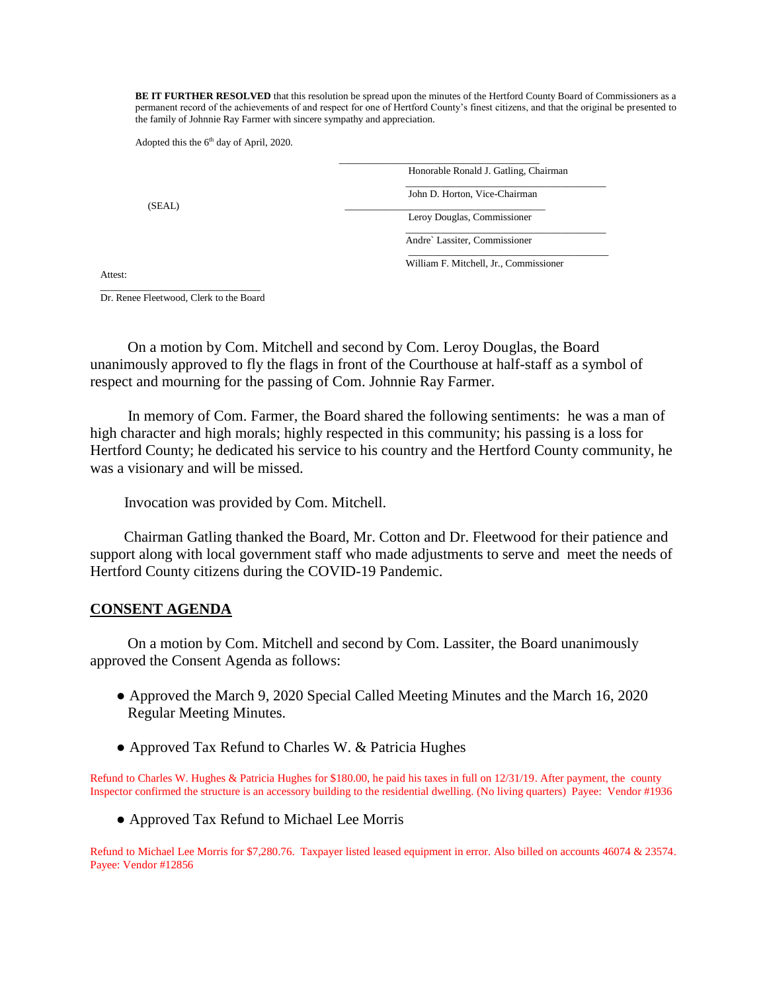BE IT FURTHER RESOLVED that this resolution be spread upon the minutes of the Hertford County Board of Commissioners as a permanent record of the achievements of and respect for one of Hertford County's finest citizens, and that the original be presented to the family of Johnnie Ray Farmer with sincere sympathy and appreciation.

Adopted this the  $6<sup>th</sup>$  day of April, 2020.

Honorable Ronald J. Gatling, Chairman \_\_\_\_\_\_\_\_\_\_\_\_\_\_\_\_\_\_\_\_\_\_\_\_\_\_\_\_\_\_\_\_\_\_\_\_\_\_\_\_ John D. Horton, Vice-Chairman  $(SEAL)$   $\qquad \qquad \qquad$ Leroy Douglas, Commissioner \_\_\_\_\_\_\_\_\_\_\_\_\_\_\_\_\_\_\_\_\_\_\_\_\_\_\_\_\_\_\_\_\_\_\_\_\_\_\_\_ Andre` Lassiter, Commissioner

\_\_\_\_\_\_\_\_\_\_\_\_\_\_\_\_\_\_\_\_\_\_\_\_\_\_\_\_\_\_\_\_\_\_\_\_\_\_\_\_ William F. Mitchell, Jr., Commissioner

Attest:

 $\overline{\phantom{a}}$  ,  $\overline{\phantom{a}}$  ,  $\overline{\phantom{a}}$  ,  $\overline{\phantom{a}}$  ,  $\overline{\phantom{a}}$  ,  $\overline{\phantom{a}}$  ,  $\overline{\phantom{a}}$  ,  $\overline{\phantom{a}}$  ,  $\overline{\phantom{a}}$  ,  $\overline{\phantom{a}}$  ,  $\overline{\phantom{a}}$  ,  $\overline{\phantom{a}}$  ,  $\overline{\phantom{a}}$  ,  $\overline{\phantom{a}}$  ,  $\overline{\phantom{a}}$  ,  $\overline{\phantom{a}}$ Dr. Renee Fleetwood, Clerk to the Board

 On a motion by Com. Mitchell and second by Com. Leroy Douglas, the Board unanimously approved to fly the flags in front of the Courthouse at half-staff as a symbol of respect and mourning for the passing of Com. Johnnie Ray Farmer.

 $\frac{1}{\sqrt{2}}$  ,  $\frac{1}{\sqrt{2}}$  ,  $\frac{1}{\sqrt{2}}$  ,  $\frac{1}{\sqrt{2}}$  ,  $\frac{1}{\sqrt{2}}$  ,  $\frac{1}{\sqrt{2}}$  ,  $\frac{1}{\sqrt{2}}$  ,  $\frac{1}{\sqrt{2}}$  ,  $\frac{1}{\sqrt{2}}$  ,  $\frac{1}{\sqrt{2}}$  ,  $\frac{1}{\sqrt{2}}$  ,  $\frac{1}{\sqrt{2}}$  ,  $\frac{1}{\sqrt{2}}$  ,  $\frac{1}{\sqrt{2}}$  ,  $\frac{1}{\sqrt{2}}$ 

 In memory of Com. Farmer, the Board shared the following sentiments: he was a man of high character and high morals; highly respected in this community; his passing is a loss for Hertford County; he dedicated his service to his country and the Hertford County community, he was a visionary and will be missed.

Invocation was provided by Com. Mitchell.

 Chairman Gatling thanked the Board, Mr. Cotton and Dr. Fleetwood for their patience and support along with local government staff who made adjustments to serve and meet the needs of Hertford County citizens during the COVID-19 Pandemic.

# **CONSENT AGENDA**

 On a motion by Com. Mitchell and second by Com. Lassiter, the Board unanimously approved the Consent Agenda as follows:

- Approved the March 9, 2020 Special Called Meeting Minutes and the March 16, 2020 Regular Meeting Minutes.
- Approved Tax Refund to Charles W. & Patricia Hughes

Refund to Charles W. Hughes & Patricia Hughes for \$180.00, he paid his taxes in full on 12/31/19. After payment, the county Inspector confirmed the structure is an accessory building to the residential dwelling. (No living quarters)Payee: Vendor #1936

• Approved Tax Refund to Michael Lee Morris

Refund to Michael Lee Morris for \$7,280.76. Taxpayer listed leased equipment in error. Also billed on accounts 46074 & 23574. Payee: Vendor #12856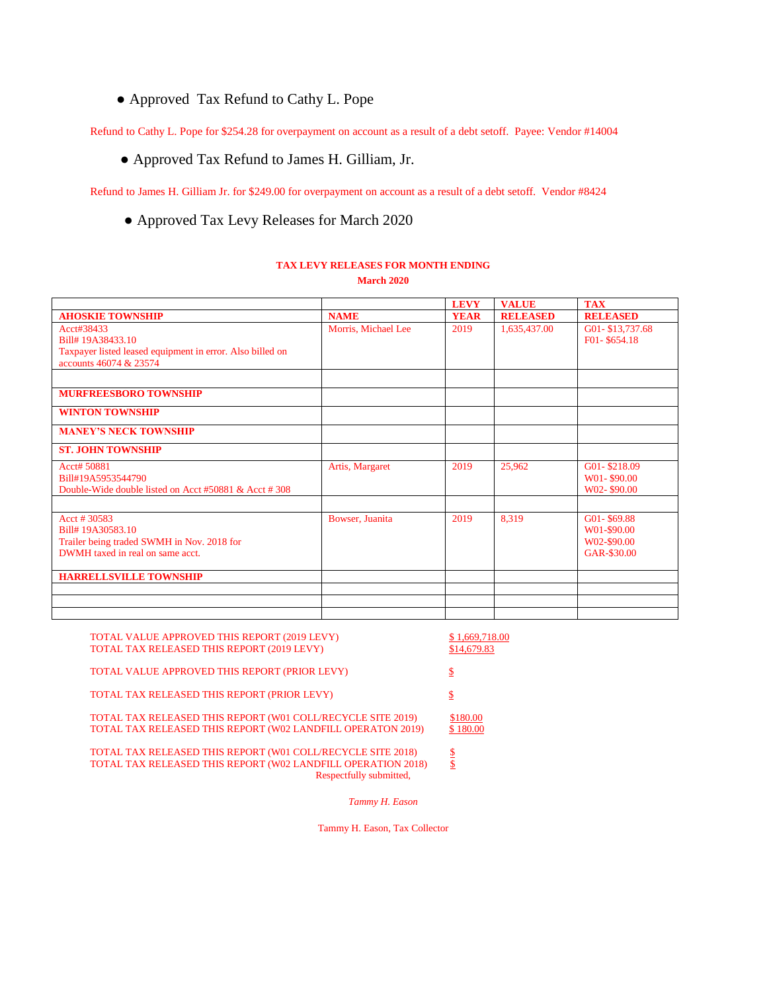● Approved Tax Refund to Cathy L. Pope

Refund to Cathy L. Pope for \$254.28 for overpayment on account as a result of a debt setoff. Payee: Vendor #14004

● Approved Tax Refund to James H. Gilliam, Jr.

Refund to James H. Gilliam Jr. for \$249.00 for overpayment on account as a result of a debt setoff. Vendor #8424

● Approved Tax Levy Releases for March 2020

## **TAX LEVY RELEASES FOR MONTH ENDING March 2020**

|                                                                                                                        |                     | <b>LEVY</b> | <b>VALUE</b>    | <b>TAX</b>                                               |
|------------------------------------------------------------------------------------------------------------------------|---------------------|-------------|-----------------|----------------------------------------------------------|
| <b>AHOSKIE TOWNSHIP</b>                                                                                                | <b>NAME</b>         | <b>YEAR</b> | <b>RELEASED</b> | <b>RELEASED</b>                                          |
| Acct#38433<br>Bill# 19A38433.10<br>Taxpayer listed leased equipment in error. Also billed on<br>accounts 46074 & 23574 | Morris, Michael Lee | 2019        | 1,635,437.00    | G01-\$13,737.68<br>F01-\$654.18                          |
| <b>MURFREESBORO TOWNSHIP</b>                                                                                           |                     |             |                 |                                                          |
|                                                                                                                        |                     |             |                 |                                                          |
| <b>WINTON TOWNSHIP</b>                                                                                                 |                     |             |                 |                                                          |
| <b>MANEY'S NECK TOWNSHIP</b>                                                                                           |                     |             |                 |                                                          |
| <b>ST. JOHN TOWNSHIP</b>                                                                                               |                     |             |                 |                                                          |
| Acct# 50881<br>Bill#19A5953544790<br>Double-Wide double listed on Acct #50881 & Acct #308                              | Artis, Margaret     | 2019        | 25,962          | G01-\$218.09<br>W01-\$90.00<br>W02-\$90.00               |
|                                                                                                                        |                     |             |                 |                                                          |
| Acct # 30583<br>Bill#19A30583.10<br>Trailer being traded SWMH in Nov. 2018 for<br>DWMH taxed in real on same acct.     | Bowser, Juanita     | 2019        | 8,319           | G01-\$69.88<br>W01-\$90.00<br>W02-\$90.00<br>GAR-\$30.00 |
| <b>HARRELLSVILLE TOWNSHIP</b>                                                                                          |                     |             |                 |                                                          |
|                                                                                                                        |                     |             |                 |                                                          |
|                                                                                                                        |                     |             |                 |                                                          |
|                                                                                                                        |                     |             |                 |                                                          |

| TOTAL VALUE APPROVED THIS REPORT (2019 LEVY)<br>TOTAL TAX RELEASED THIS REPORT (2019 LEVY)                                                             | \$1,669,718.00<br>\$14,679.83 |
|--------------------------------------------------------------------------------------------------------------------------------------------------------|-------------------------------|
| TOTAL VALUE APPROVED THIS REPORT (PRIOR LEVY)                                                                                                          | \$                            |
| TOTAL TAX RELEASED THIS REPORT (PRIOR LEVY)                                                                                                            | \$                            |
| TOTAL TAX RELEASED THIS REPORT (W01 COLL/RECYCLE SITE 2019)<br>TOTAL TAX RELEASED THIS REPORT (W02 LANDFILL OPERATON 2019)                             | \$180.00<br>\$180.00          |
| TOTAL TAX RELEASED THIS REPORT (W01 COLL/RECYCLE SITE 2018)<br>TOTAL TAX RELEASED THIS REPORT (W02 LANDFILL OPERATION 2018)<br>Respectfully submitted, | \$<br>\$                      |

*Tammy H. Eason*

Tammy H. Eason, Tax Collector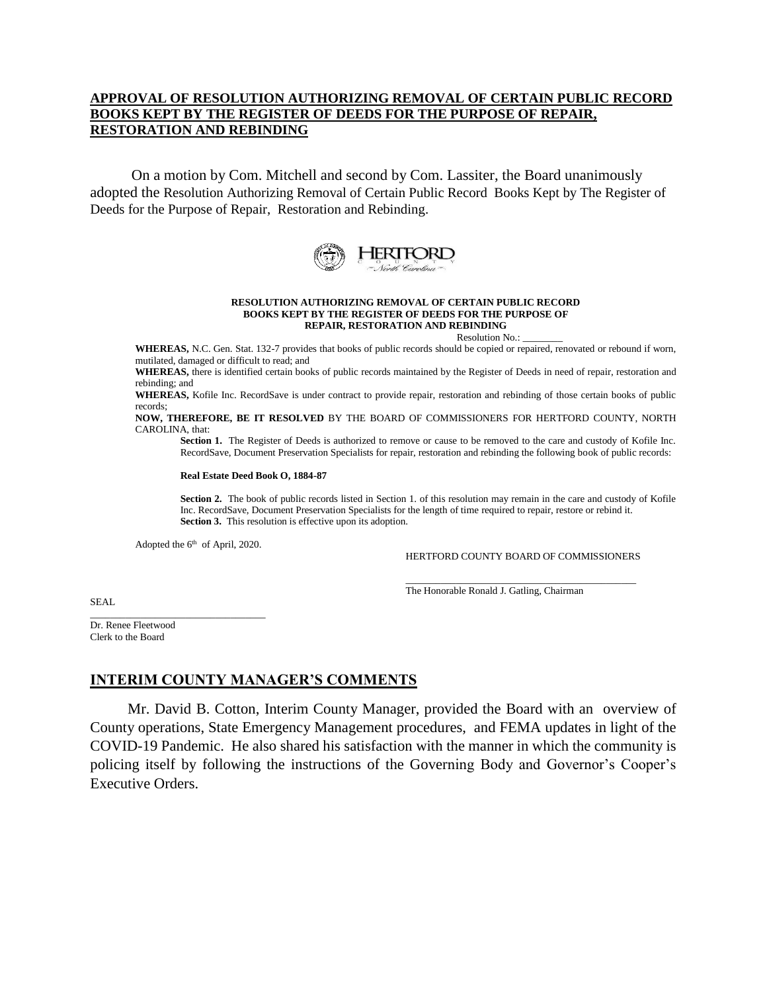# **APPROVAL OF RESOLUTION AUTHORIZING REMOVAL OF CERTAIN PUBLIC RECORD BOOKS KEPT BY THE REGISTER OF DEEDS FOR THE PURPOSE OF REPAIR, RESTORATION AND REBINDING**

 On a motion by Com. Mitchell and second by Com. Lassiter, the Board unanimously adopted the Resolution Authorizing Removal of Certain Public Record Books Kept by The Register of Deeds for the Purpose of Repair, Restoration and Rebinding.



### **RESOLUTION AUTHORIZING REMOVAL OF CERTAIN PUBLIC RECORD BOOKS KEPT BY THE REGISTER OF DEEDS FOR THE PURPOSE OF REPAIR, RESTORATION AND REBINDING**

Resolution No.:

**WHEREAS,** N.C. Gen. Stat. 132-7 provides that books of public records should be copied or repaired, renovated or rebound if worn, mutilated, damaged or difficult to read; and

**WHEREAS,** there is identified certain books of public records maintained by the Register of Deeds in need of repair, restoration and rebinding; and

**WHEREAS,** Kofile Inc. RecordSave is under contract to provide repair, restoration and rebinding of those certain books of public records;

**NOW, THEREFORE, BE IT RESOLVED** BY THE BOARD OF COMMISSIONERS FOR HERTFORD COUNTY, NORTH CAROLINA, that:

**Section 1.** The Register of Deeds is authorized to remove or cause to be removed to the care and custody of Kofile Inc. RecordSave, Document Preservation Specialists for repair, restoration and rebinding the following book of public records:

### **Real Estate Deed Book O, 1884-87**

**Section 2.** The book of public records listed in Section 1. of this resolution may remain in the care and custody of Kofile Inc. RecordSave, Document Preservation Specialists for the length of time required to repair, restore or rebind it. **Section 3.** This resolution is effective upon its adoption.

Adopted the  $6<sup>th</sup>$  of April, 2020.

\_\_\_\_\_\_\_\_\_\_\_\_\_\_\_\_\_\_\_\_\_\_\_\_\_\_\_\_\_\_\_\_\_\_\_

HERTFORD COUNTY BOARD OF COMMISSIONERS

SEAL

The Honorable Ronald J. Gatling, Chairman

Dr. Renee Fleetwood Clerk to the Board

# **INTERIM COUNTY MANAGER'S COMMENTS**

 Mr. David B. Cotton, Interim County Manager, provided the Board with an overview of County operations, State Emergency Management procedures, and FEMA updates in light of the COVID-19 Pandemic. He also shared his satisfaction with the manner in which the community is policing itself by following the instructions of the Governing Body and Governor's Cooper's Executive Orders.

 $\_$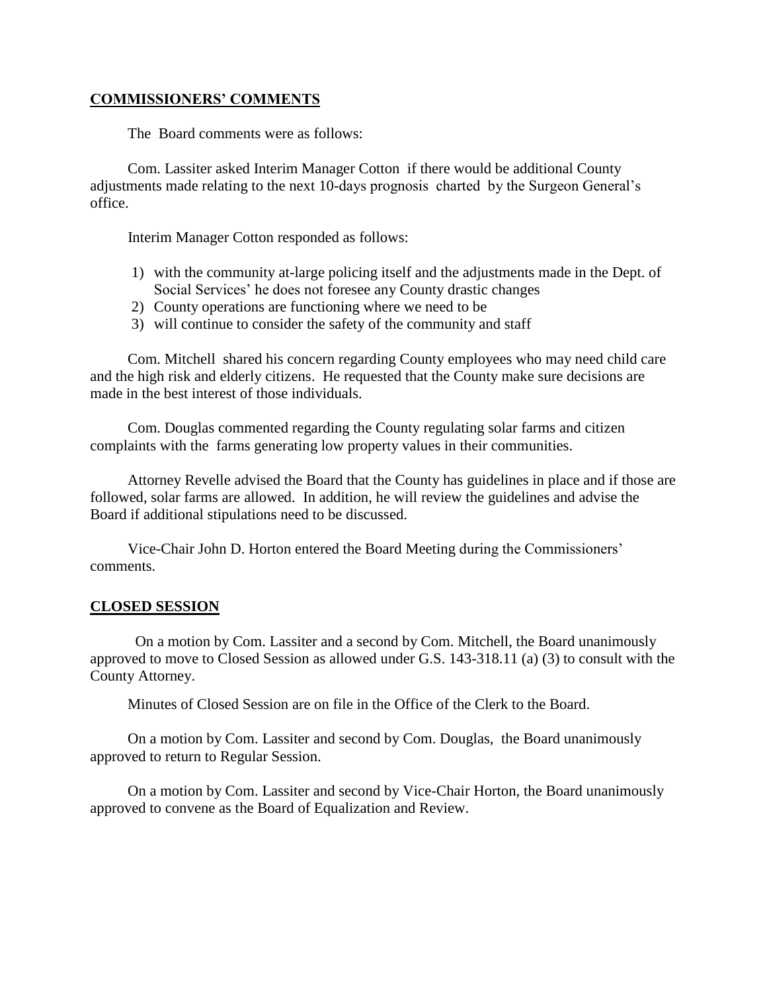# **COMMISSIONERS' COMMENTS**

The Board comments were as follows:

 Com. Lassiter asked Interim Manager Cotton if there would be additional County adjustments made relating to the next 10-days prognosis charted by the Surgeon General's office.

Interim Manager Cotton responded as follows:

- 1) with the community at-large policing itself and the adjustments made in the Dept. of Social Services' he does not foresee any County drastic changes
- 2) County operations are functioning where we need to be
- 3) will continue to consider the safety of the community and staff

 Com. Mitchell shared his concern regarding County employees who may need child care and the high risk and elderly citizens. He requested that the County make sure decisions are made in the best interest of those individuals.

 Com. Douglas commented regarding the County regulating solar farms and citizen complaints with the farms generating low property values in their communities.

 Attorney Revelle advised the Board that the County has guidelines in place and if those are followed, solar farms are allowed. In addition, he will review the guidelines and advise the Board if additional stipulations need to be discussed.

 Vice-Chair John D. Horton entered the Board Meeting during the Commissioners' comments.

# **CLOSED SESSION**

On a motion by Com. Lassiter and a second by Com. Mitchell, the Board unanimously approved to move to Closed Session as allowed under G.S. 143-318.11 (a) (3) to consult with the County Attorney.

Minutes of Closed Session are on file in the Office of the Clerk to the Board.

 On a motion by Com. Lassiter and second by Com. Douglas, the Board unanimously approved to return to Regular Session.

 On a motion by Com. Lassiter and second by Vice-Chair Horton, the Board unanimously approved to convene as the Board of Equalization and Review.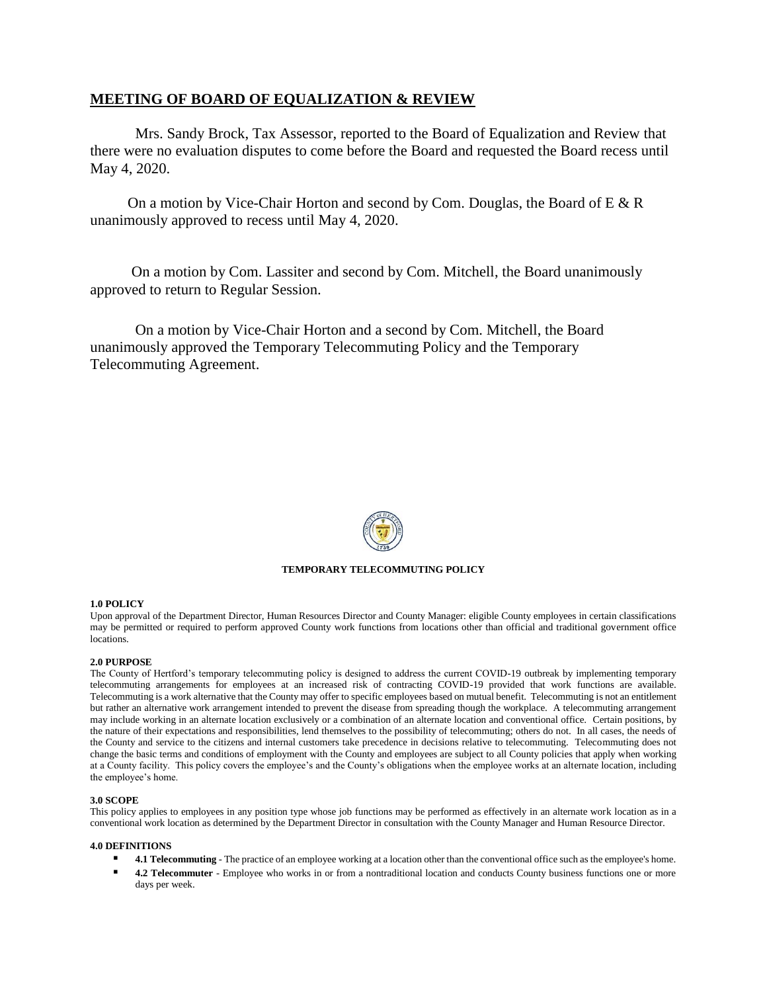# **MEETING OF BOARD OF EQUALIZATION & REVIEW**

Mrs. Sandy Brock, Tax Assessor, reported to the Board of Equalization and Review that there were no evaluation disputes to come before the Board and requested the Board recess until May 4, 2020.

 On a motion by Vice-Chair Horton and second by Com. Douglas, the Board of E & R unanimously approved to recess until May 4, 2020.

 On a motion by Com. Lassiter and second by Com. Mitchell, the Board unanimously approved to return to Regular Session.

On a motion by Vice-Chair Horton and a second by Com. Mitchell, the Board unanimously approved the Temporary Telecommuting Policy and the Temporary Telecommuting Agreement.



## **TEMPORARY TELECOMMUTING POLICY**

## **1.0 POLICY**

Upon approval of the Department Director, Human Resources Director and County Manager: eligible County employees in certain classifications may be permitted or required to perform approved County work functions from locations other than official and traditional government office locations.

## **2.0 PURPOSE**

The County of Hertford's temporary telecommuting policy is designed to address the current COVID-19 outbreak by implementing temporary telecommuting arrangements for employees at an increased risk of contracting COVID-19 provided that work functions are available. Telecommuting is a work alternative that the County may offer to specific employees based on mutual benefit. Telecommuting is not an entitlement but rather an alternative work arrangement intended to prevent the disease from spreading though the workplace. A telecommuting arrangement may include working in an alternate location exclusively or a combination of an alternate location and conventional office. Certain positions, by the nature of their expectations and responsibilities, lend themselves to the possibility of telecommuting; others do not. In all cases, the needs of the County and service to the citizens and internal customers take precedence in decisions relative to telecommuting. Telecommuting does not change the basic terms and conditions of employment with the County and employees are subject to all County policies that apply when working at a County facility. This policy covers the employee's and the County's obligations when the employee works at an alternate location, including the employee's home.

## **3.0 SCOPE**

This policy applies to employees in any position type whose job functions may be performed as effectively in an alternate work location as in a conventional work location as determined by the Department Director in consultation with the County Manager and Human Resource Director.

### **4.0 DEFINITIONS**

- **4.1 Telecommuting** The practice of an employee working at a location other than the conventional office such as the employee's home.
- **4.2 Telecommuter** Employee who works in or from a nontraditional location and conducts County business functions one or more days per week.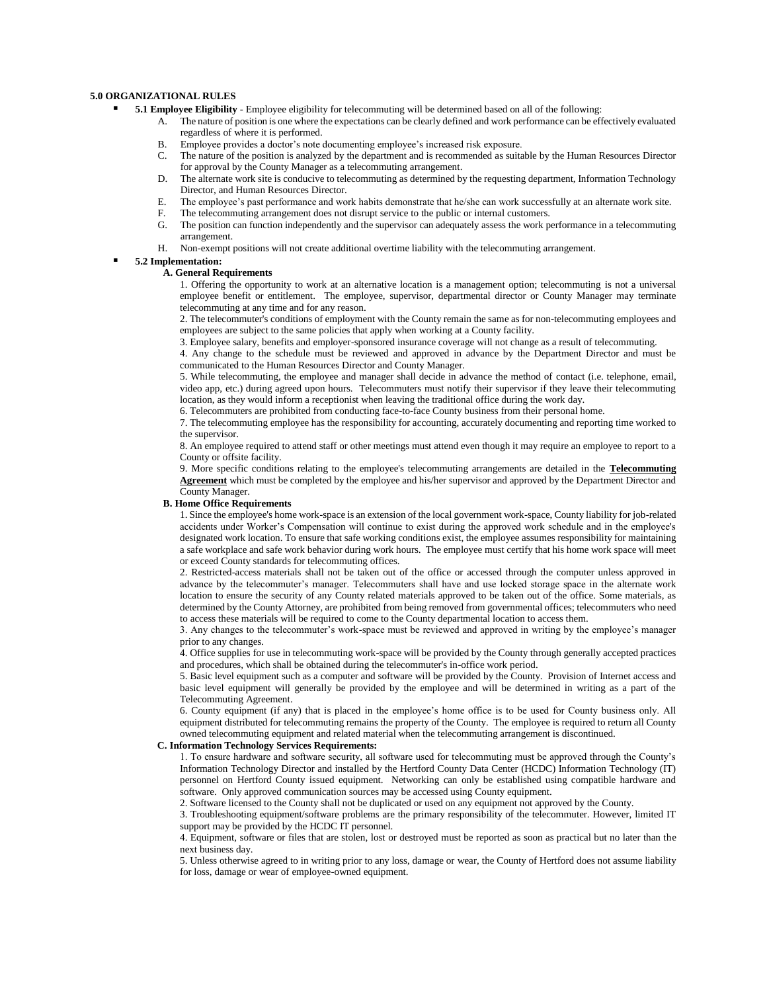## **5.0 ORGANIZATIONAL RULES**

- **5.1 Employee Eligibility** Employee eligibility for telecommuting will be determined based on all of the following:
	- A. The nature of position is one where the expectations can be clearly defined and work performance can be effectively evaluated regardless of where it is performed.
	- B. Employee provides a doctor's note documenting employee's increased risk exposure.
	- C. The nature of the position is analyzed by the department and is recommended as suitable by the Human Resources Director for approval by the County Manager as a telecommuting arrangement.
	- D. The alternate work site is conducive to telecommuting as determined by the requesting department, Information Technology Director, and Human Resources Director.
	- E. The employee's past performance and work habits demonstrate that he/she can work successfully at an alternate work site.
	- F. The telecommuting arrangement does not disrupt service to the public or internal customers.
	- G. The position can function independently and the supervisor can adequately assess the work performance in a telecommuting arrangement.
	- H. Non-exempt positions will not create additional overtime liability with the telecommuting arrangement.

### ▪ **5.2 Implementation:**

#### **A. General Requirements**

1. Offering the opportunity to work at an alternative location is a management option; telecommuting is not a universal employee benefit or entitlement. The employee, supervisor, departmental director or County Manager may terminate telecommuting at any time and for any reason.

2. The telecommuter's conditions of employment with the County remain the same as for non-telecommuting employees and employees are subject to the same policies that apply when working at a County facility.

3. Employee salary, benefits and employer-sponsored insurance coverage will not change as a result of telecommuting.

4. Any change to the schedule must be reviewed and approved in advance by the Department Director and must be communicated to the Human Resources Director and County Manager.

5. While telecommuting, the employee and manager shall decide in advance the method of contact (i.e. telephone, email, video app, etc.) during agreed upon hours. Telecommuters must notify their supervisor if they leave their telecommuting location, as they would inform a receptionist when leaving the traditional office during the work day.

6. Telecommuters are prohibited from conducting face-to-face County business from their personal home.

7. The telecommuting employee has the responsibility for accounting, accurately documenting and reporting time worked to the supervisor.

8. An employee required to attend staff or other meetings must attend even though it may require an employee to report to a County or offsite facility.

9. More specific conditions relating to the employee's telecommuting arrangements are detailed in the **[Telecommuting](http://citynet/hr/HR%20Policy%20Manual%20Documents/b17appendix8.1telecommuntingagreement.doc)  [Agreement](http://citynet/hr/HR%20Policy%20Manual%20Documents/b17appendix8.1telecommuntingagreement.doc)** which must be completed by the employee and his/her supervisor and approved by the Department Director and County Manager.

### **B. Home Office Requirements**

1. Since the employee's home work-space is an extension of the local government work-space, County liability for job-related accidents under Worker's Compensation will continue to exist during the approved work schedule and in the employee's designated work location. To ensure that safe working conditions exist, the employee assumes responsibility for maintaining a safe workplace and safe work behavior during work hours. The employee must certify that his home work space will meet or exceed County standards for telecommuting offices.

2. Restricted-access materials shall not be taken out of the office or accessed through the computer unless approved in advance by the telecommuter's manager. Telecommuters shall have and use locked storage space in the alternate work location to ensure the security of any County related materials approved to be taken out of the office. Some materials, as determined by the County Attorney, are prohibited from being removed from governmental offices; telecommuters who need to access these materials will be required to come to the County departmental location to access them.

3. Any changes to the telecommuter's work-space must be reviewed and approved in writing by the employee's manager prior to any changes.

4. Office supplies for use in telecommuting work-space will be provided by the County through generally accepted practices and procedures, which shall be obtained during the telecommuter's in-office work period.

5. Basic level equipment such as a computer and software will be provided by the County. Provision of Internet access and basic level equipment will generally be provided by the employee and will be determined in writing as a part of the Telecommuting Agreement.

6. County equipment (if any) that is placed in the employee's home office is to be used for County business only. All equipment distributed for telecommuting remains the property of the County. The employee is required to return all County owned telecommuting equipment and related material when the telecommuting arrangement is discontinued.

#### **C. Information Technology Services Requirements:**

1. To ensure hardware and software security, all software used for telecommuting must be approved through the County's Information Technology Director and installed by the Hertford County Data Center (HCDC) Information Technology (IT) personnel on Hertford County issued equipment. Networking can only be established using compatible hardware and software. Only approved communication sources may be accessed using County equipment.

2. Software licensed to the County shall not be duplicated or used on any equipment not approved by the County.

3. Troubleshooting equipment/software problems are the primary responsibility of the telecommuter. However, limited IT support may be provided by the HCDC IT personnel.

4. Equipment, software or files that are stolen, lost or destroyed must be reported as soon as practical but no later than the next business day.

5. Unless otherwise agreed to in writing prior to any loss, damage or wear, the County of Hertford does not assume liability for loss, damage or wear of employee-owned equipment.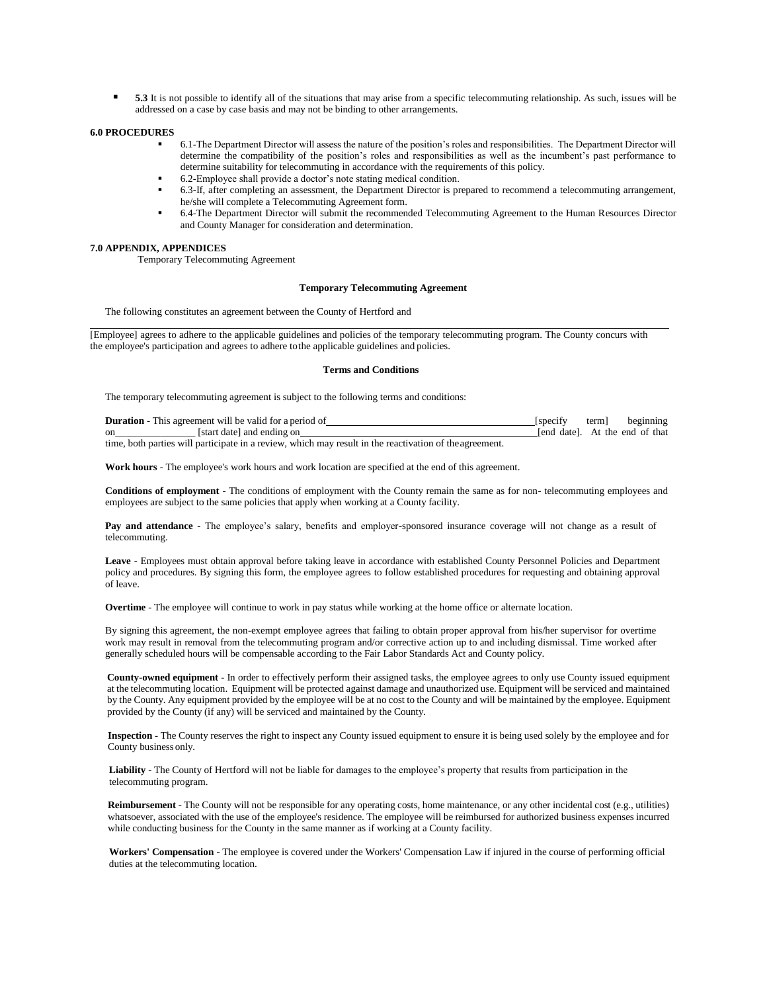**5.3** It is not possible to identify all of the situations that may arise from a specific telecommuting relationship. As such, issues will be addressed on a case by case basis and may not be binding to other arrangements.

#### **6.0 PROCEDURES**

- 6.1-The Department Director will assess the nature of the position's roles and responsibilities. The Department Director will determine the compatibility of the position's roles and responsibilities as well as the incumbent's past performance to determine suitability for telecommuting in accordance with the requirements of this policy.
- 6.2-Employee shall provide a doctor's note stating medical condition.
- 6.3-If, after completing an assessment, the Department Director is prepared to recommend a telecommuting arrangement, he/she will complete a Telecommuting Agreement form.
- 6.4-The Department Director will submit the recommended Telecommuting Agreement to the Human Resources Director and County Manager for consideration and determination.

### **7.0 APPENDIX, APPENDICES**

Temporary Telecommuting Agreement

### **Temporary Telecommuting Agreement**

The following constitutes an agreement between the County of Hertford and

[Employee] agrees to adhere to the applicable guidelines and policies of the temporary telecommuting program. The County concurs with the employee's participation and agrees to adhere tothe applicable guidelines and policies.

#### **Terms and Conditions**

The temporary telecommuting agreement is subject to the following terms and conditions:

|               | <b>Duration</b> - This agreement will be valid for a period of                                          | <i>specify</i> | term] | beginning                      |
|---------------|---------------------------------------------------------------------------------------------------------|----------------|-------|--------------------------------|
| <sub>on</sub> | [start date] and ending on                                                                              |                |       | fend datel. At the end of that |
|               | time, both parties will participate in a review, which may result in the reactivation of the agreement. |                |       |                                |

**Work hours** - The employee's work hours and work location are specified at the end of this agreement.

**Conditions of employment** - The conditions of employment with the County remain the same as for non- telecommuting employees and employees are subject to the same policies that apply when working at a County facility.

**Pay and attendance** - The employee's salary, benefits and employer-sponsored insurance coverage will not change as a result of telecommuting.

**Leave** - Employees must obtain approval before taking leave in accordance with established County Personnel Policies and Department policy and procedures. By signing this form, the employee agrees to follow established procedures for requesting and obtaining approval of leave.

**Overtime** - The employee will continue to work in pay status while working at the home office or alternate location.

By signing this agreement, the non-exempt employee agrees that failing to obtain proper approval from his/her supervisor for overtime work may result in removal from the telecommuting program and/or corrective action up to and including dismissal. Time worked after generally scheduled hours will be compensable according to the Fair Labor Standards Act and County policy.

**County-owned equipment** - In order to effectively perform their assigned tasks, the employee agrees to only use County issued equipment at the telecommuting location. Equipment will be protected against damage and unauthorized use. Equipment will be serviced and maintained by the County. Any equipment provided by the employee will be at no cost to the County and will be maintained by the employee. Equipment provided by the County (if any) will be serviced and maintained by the County.

 **Inspection** - The County reserves the right to inspect any County issued equipment to ensure it is being used solely by the employee and for County business only.

 **Liability** - The County of Hertford will not be liable for damages to the employee's property that results from participation in the telecommuting program.

 **Reimbursement** - The County will not be responsible for any operating costs, home maintenance, or any other incidental cost (e.g., utilities) whatsoever, associated with the use of the employee's residence. The employee will be reimbursed for authorized business expenses incurred while conducting business for the County in the same manner as if working at a County facility.

 **Workers' Compensation** - The employee is covered under the Workers' Compensation Law if injured in the course of performing official duties at the telecommuting location.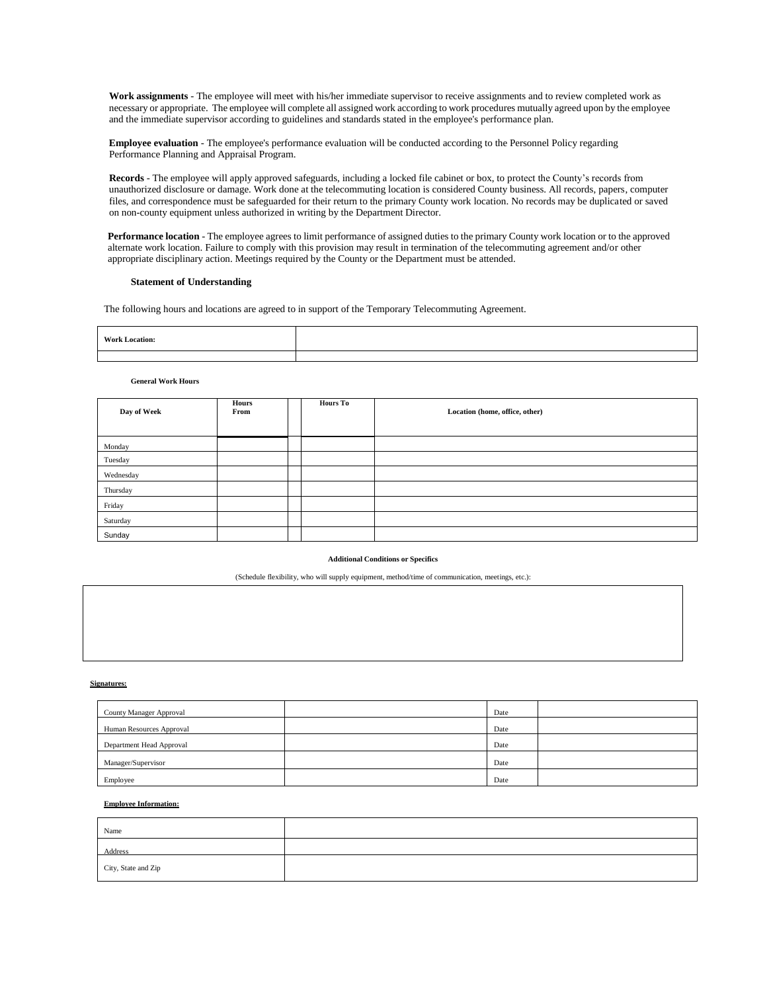**Work assignments** - The employee will meet with his/her immediate supervisor to receive assignments and to review completed work as necessary or appropriate. The employee will complete all assigned work according to work procedures mutually agreed upon by the employee and the immediate supervisor according to guidelines and standards stated in the employee's performance plan.

 **Employee evaluation** - The employee's performance evaluation will be conducted according to the Personnel Policy regarding Performance Planning and Appraisal Program.

 **Records** - The employee will apply approved safeguards, including a locked file cabinet or box, to protect the County's records from unauthorized disclosure or damage. Work done at the telecommuting location is considered County business. All records, papers, computer files, and correspondence must be safeguarded for their return to the primary County work location. No records may be duplicated or saved on non-county equipment unless authorized in writing by the Department Director.

 **Performance location** - The employee agrees to limit performance of assigned duties to the primary County work location or to the approved alternate work location. Failure to comply with this provision may result in termination of the telecommuting agreement and/or other appropriate disciplinary action. Meetings required by the County or the Department must be attended.

#### **Statement of Understanding**

The following hours and locations are agreed to in support of the Temporary Telecommuting Agreement.

| <b>Work Location:</b> |  |
|-----------------------|--|
|                       |  |
|                       |  |

#### **General Work Hours**

| Day of Week | Hours<br>From | <b>Hours To</b> | Location (home, office, other) |
|-------------|---------------|-----------------|--------------------------------|
| Monday      |               |                 |                                |
| Tuesday     |               |                 |                                |
| Wednesday   |               |                 |                                |
| Thursday    |               |                 |                                |
| Friday      |               |                 |                                |
| Saturday    |               |                 |                                |
| Sunday      |               |                 |                                |

#### **Additional Conditions or Specifics**

(Schedule flexibility, who will supply equipment, method/time of communication, meetings, etc.):

#### **Signatures:**

| County Manager Approval  | Date |  |
|--------------------------|------|--|
| Human Resources Approval | Date |  |
| Department Head Approval | Date |  |
| Manager/Supervisor       | Date |  |
| Employee                 | Date |  |

### **Employee Information:**

| Name                |  |
|---------------------|--|
| <b>Address</b>      |  |
| City, State and Zip |  |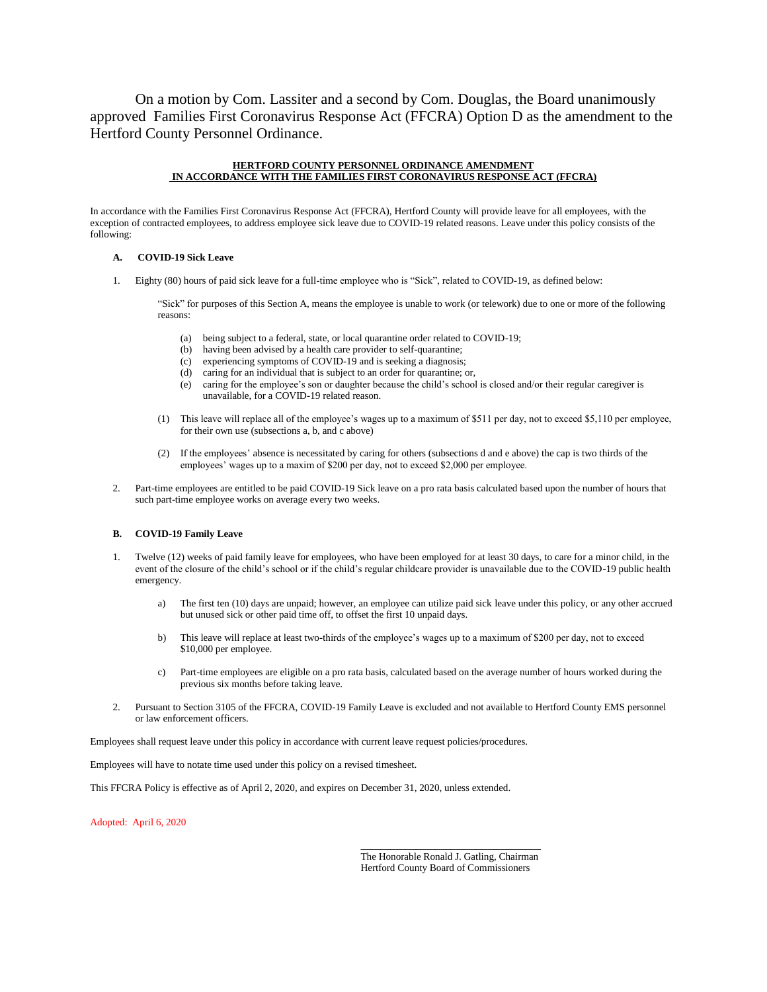On a motion by Com. Lassiter and a second by Com. Douglas, the Board unanimously approved Families First Coronavirus Response Act (FFCRA) Option D as the amendment to the Hertford County Personnel Ordinance.

## **HERTFORD COUNTY PERSONNEL ORDINANCE AMENDMENT IN ACCORDANCE WITH THE FAMILIES FIRST CORONAVIRUS RESPONSE ACT (FFCRA)**

In accordance with the Families First Coronavirus Response Act (FFCRA), Hertford County will provide leave for all employees, with the exception of contracted employees, to address employee sick leave due to COVID-19 related reasons. Leave under this policy consists of the following:

### **A. COVID-19 Sick Leave**

1. Eighty (80) hours of paid sick leave for a full-time employee who is "Sick", related to COVID-19, as defined below:

"Sick" for purposes of this Section A, means the employee is unable to work (or telework) due to one or more of the following reasons:

- (a) being subject to a federal, state, or local quarantine order related to COVID-19;
- (b) having been advised by a health care provider to self-quarantine;
- (c) experiencing symptoms of COVID-19 and is seeking a diagnosis;
- (d) caring for an individual that is subject to an order for quarantine; or,
- (e) caring for the employee's son or daughter because the child's school is closed and/or their regular caregiver is unavailable, for a COVID-19 related reason.
- (1) This leave will replace all of the employee's wages up to a maximum of \$511 per day, not to exceed \$5,110 per employee, for their own use (subsections a, b, and c above)
- (2) If the employees' absence is necessitated by caring for others (subsections d and e above) the cap is two thirds of the employees' wages up to a maxim of \$200 per day, not to exceed \$2,000 per employee.
- 2. Part-time employees are entitled to be paid COVID-19 Sick leave on a pro rata basis calculated based upon the number of hours that such part-time employee works on average every two weeks.

## **B. COVID-19 Family Leave**

- 1. Twelve (12) weeks of paid family leave for employees, who have been employed for at least 30 days, to care for a minor child, in the event of the closure of the child's school or if the child's regular childcare provider is unavailable due to the COVID-19 public health emergency.
	- a) The first ten (10) days are unpaid; however, an employee can utilize paid sick leave under this policy, or any other accrued but unused sick or other paid time off, to offset the first 10 unpaid days.
	- b) This leave will replace at least two-thirds of the employee's wages up to a maximum of \$200 per day, not to exceed \$10,000 per employee.
	- c) Part-time employees are eligible on a pro rata basis, calculated based on the average number of hours worked during the previous six months before taking leave.
- 2. Pursuant to Section 3105 of the FFCRA, COVID-19 Family Leave is excluded and not available to Hertford County EMS personnel or law enforcement officers.

Employees shall request leave under this policy in accordance with current leave request policies/procedures.

Employees will have to notate time used under this policy on a revised timesheet.

This FFCRA Policy is effective as of April 2, 2020, and expires on December 31, 2020, unless extended.

Adopted: April 6, 2020

\_\_\_\_\_\_\_\_\_\_\_\_\_\_\_\_\_\_\_\_\_\_\_\_\_\_\_\_\_\_\_\_\_\_\_\_ The Honorable Ronald J. Gatling, Chairman Hertford County Board of Commissioners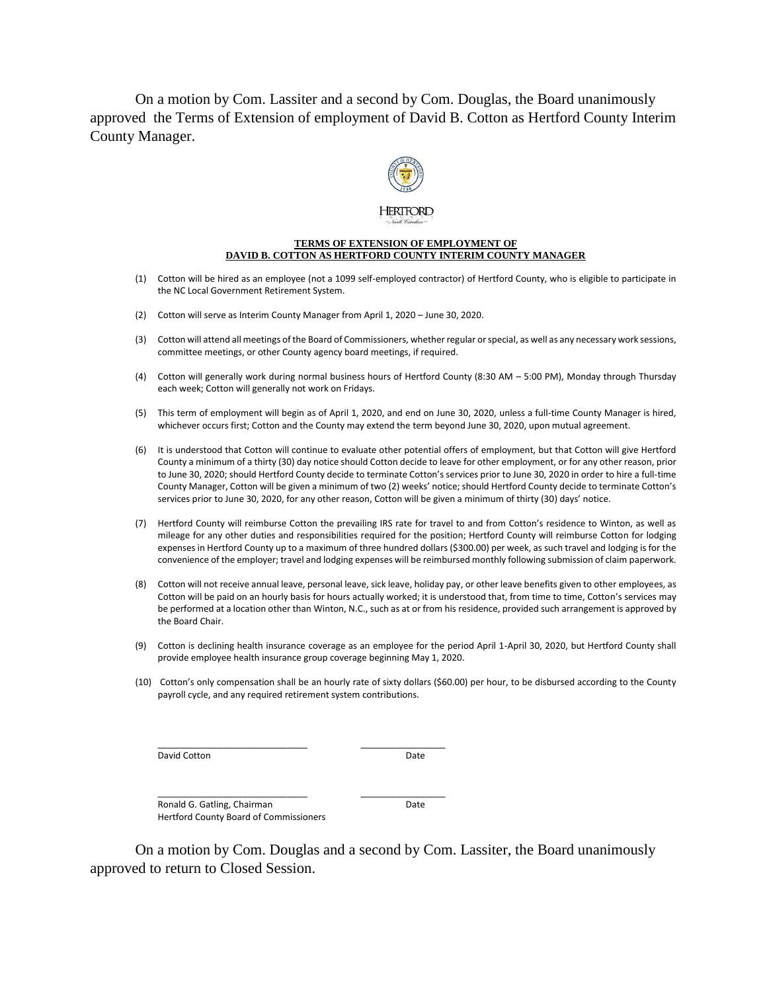On a motion by Com. Lassiter and a second by Com. Douglas, the Board unanimously approved the Terms of Extension of employment of David B. Cotton as Hertford County Interim County Manager.



## **TERMS OF EXTENSION OF EMPLOYMENT OF DAVID B. COTTON AS HERTFORD COUNTY INTERIM COUNTY MANAGER**

- (1) Cotton will be hired as an employee (not a 1099 self-employed contractor) of Hertford County, who is eligible to participate in the NC Local Government Retirement System.
- (2) Cotton will serve as Interim County Manager from April 1, 2020 June 30, 2020.
- (3) Cotton will attend all meetings of the Board of Commissioners, whether regular or special, as well as any necessary work sessions, committee meetings, or other County agency board meetings, if required.
- (4) Cotton will generally work during normal business hours of Hertford County (8:30 AM 5:00 PM), Monday through Thursday each week; Cotton will generally not work on Fridays.
- (5) This term of employment will begin as of April 1, 2020, and end on June 30, 2020, unless a full-time County Manager is hired, whichever occurs first; Cotton and the County may extend the term beyond June 30, 2020, upon mutual agreement.
- (6) It is understood that Cotton will continue to evaluate other potential offers of employment, but that Cotton will give Hertford County a minimum of a thirty (30) day notice should Cotton decide to leave for other employment, or for any other reason, prior to June 30, 2020; should Hertford County decide to terminate Cotton's services prior to June 30, 2020 in order to hire a full-time County Manager, Cotton will be given a minimum of two (2) weeks' notice; should Hertford County decide to terminate Cotton's services prior to June 30, 2020, for any other reason, Cotton will be given a minimum of thirty (30) days' notice.
- (7) Hertford County will reimburse Cotton the prevailing IRS rate for travel to and from Cotton's residence to Winton, as well as mileage for any other duties and responsibilities required for the position; Hertford County will reimburse Cotton for lodging expenses in Hertford County up to a maximum of three hundred dollars (\$300.00) per week, as such travel and lodging is for the convenience of the employer; travel and lodging expenses will be reimbursed monthly following submission of claim paperwork.
- (8) Cotton will not receive annual leave, personal leave, sick leave, holiday pay, or other leave benefits given to other employees, as Cotton will be paid on an hourly basis for hours actually worked; it is understood that, from time to time, Cotton's services may be performed at a location other than Winton, N.C., such as at or from his residence, provided such arrangement is approved by the Board Chair.
- (9) Cotton is declining health insurance coverage as an employee for the period April 1-April 30, 2020, but Hertford County shall provide employee health insurance group coverage beginning May 1, 2020.
- (10) Cotton's only compensation shall be an hourly rate of sixty dollars (\$60.00) per hour, to be disbursed according to the County payroll cycle, and any required retirement system contributions.

David Cotton **Date** 

\_\_\_\_\_\_\_\_\_\_\_\_\_\_\_\_\_\_\_\_\_\_\_\_\_\_\_\_\_\_ \_\_\_\_\_\_\_\_\_\_\_\_\_\_\_\_\_

Ronald G. Gatling, Chairman Date Hertford County Board of Commissioners

\_\_\_\_\_\_\_\_\_\_\_\_\_\_\_\_\_\_\_\_\_\_\_\_\_\_\_\_\_\_ \_\_\_\_\_\_\_\_\_\_\_\_\_\_\_\_\_

On a motion by Com. Douglas and a second by Com. Lassiter, the Board unanimously approved to return to Closed Session.